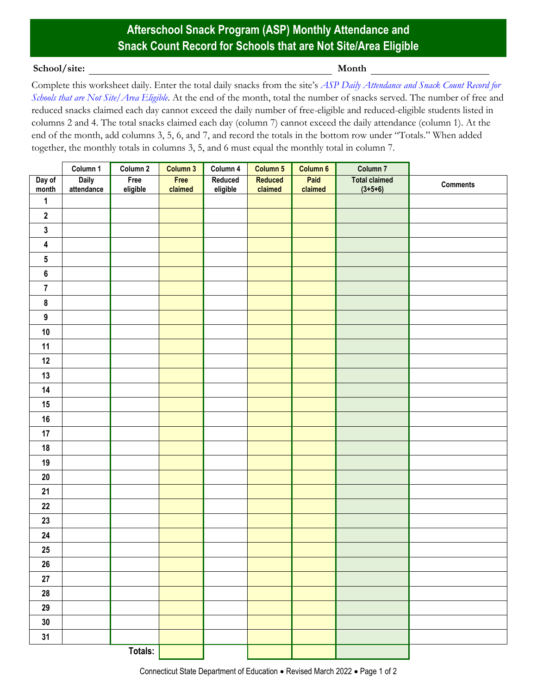## **Afterschool Snack Program (ASP) Monthly Attendance and Snack Count Record for Schools that are Not Site/Area Eligible**

## **School/site: Month**

Complete this worksheet daily. Enter the total daily snacks from the site's *[ASP Daily Attendance and Snack Count Record](https://portal.ct.gov/-/media/SDE/Nutrition/ASP/Forms/Daily_Attendance_Count_Record_ASP_Not_Site_Area_Eligible.pdf) for [Schools that are Not Site/Area Eligible](https://portal.ct.gov/-/media/SDE/Nutrition/ASP/Forms/Daily_Attendance_Count_Record_ASP_Not_Site_Area_Eligible.pdf)*. At the end of the month, total the number of snacks served. The number of free and reduced snacks claimed each day cannot exceed the daily number of free-eligible and reduced-eligible students listed in columns 2 and 4. The total snacks claimed each day (column 7) cannot exceed the daily attendance (column 1). At the end of the month, add columns 3, 5, 6, and 7, and record the totals in the bottom row under "Totals." When added together, the monthly totals in columns 3, 5, and 6 must equal the monthly total in column 7.

|                         | Column 1                   | Column 2         | Column 3        | Column 4            | Column 5           | Column 6        | Column 7                          |                 |
|-------------------------|----------------------------|------------------|-----------------|---------------------|--------------------|-----------------|-----------------------------------|-----------------|
| Day of<br>month         | <b>Daily</b><br>attendance | Free<br>eligible | Free<br>claimed | Reduced<br>eligible | Reduced<br>claimed | Paid<br>claimed | <b>Total claimed</b><br>$(3+5+6)$ | <b>Comments</b> |
| $\mathbf{1}$            |                            |                  |                 |                     |                    |                 |                                   |                 |
| $\boldsymbol{2}$        |                            |                  |                 |                     |                    |                 |                                   |                 |
| $\mathbf{3}$            |                            |                  |                 |                     |                    |                 |                                   |                 |
| $\overline{\mathbf{4}}$ |                            |                  |                 |                     |                    |                 |                                   |                 |
| $\overline{\mathbf{5}}$ |                            |                  |                 |                     |                    |                 |                                   |                 |
| $\bf 6$                 |                            |                  |                 |                     |                    |                 |                                   |                 |
| $\overline{7}$          |                            |                  |                 |                     |                    |                 |                                   |                 |
| $\pmb{8}$               |                            |                  |                 |                     |                    |                 |                                   |                 |
| $\boldsymbol{9}$        |                            |                  |                 |                     |                    |                 |                                   |                 |
| $10\,$                  |                            |                  |                 |                     |                    |                 |                                   |                 |
| 11                      |                            |                  |                 |                     |                    |                 |                                   |                 |
| $12$                    |                            |                  |                 |                     |                    |                 |                                   |                 |
| 13                      |                            |                  |                 |                     |                    |                 |                                   |                 |
| 14                      |                            |                  |                 |                     |                    |                 |                                   |                 |
| 15                      |                            |                  |                 |                     |                    |                 |                                   |                 |
| $16\,$                  |                            |                  |                 |                     |                    |                 |                                   |                 |
| 17                      |                            |                  |                 |                     |                    |                 |                                   |                 |
| 18                      |                            |                  |                 |                     |                    |                 |                                   |                 |
| 19                      |                            |                  |                 |                     |                    |                 |                                   |                 |
| ${\bf 20}$              |                            |                  |                 |                     |                    |                 |                                   |                 |
| 21                      |                            |                  |                 |                     |                    |                 |                                   |                 |
| $22\,$                  |                            |                  |                 |                     |                    |                 |                                   |                 |
| $23\,$                  |                            |                  |                 |                     |                    |                 |                                   |                 |
| ${\bf 24}$              |                            |                  |                 |                     |                    |                 |                                   |                 |
| $25\,$                  |                            |                  |                 |                     |                    |                 |                                   |                 |
| ${\bf 26}$              |                            |                  |                 |                     |                    |                 |                                   |                 |
| ${\bf 27}$              |                            |                  |                 |                     |                    |                 |                                   |                 |
| ${\bf 28}$              |                            |                  |                 |                     |                    |                 |                                   |                 |
| $29\,$                  |                            |                  |                 |                     |                    |                 |                                   |                 |
| $30\,$                  |                            |                  |                 |                     |                    |                 |                                   |                 |
| 31                      |                            |                  |                 |                     |                    |                 |                                   |                 |
|                         |                            | Totals:          |                 |                     |                    |                 |                                   |                 |